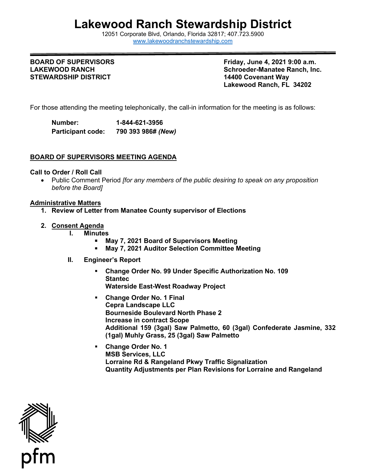# **Lakewood Ranch Stewardship District**

12051 Corporate Blvd, Orlando, Florida 32817; 407.723.5900 [www.lakewoodranchstewardship.com](http://www.lakewoodranchstewardship.com/) 

### **BOARD OF SUPERVISORS LAKEWOOD RANCH STEWARDSHIP DISTRICT**

**Friday, June 4, 2021 9:00 a.m. Schroeder-Manatee Ranch, Inc. 14400 Covenant Way Lakewood Ranch, FL 34202** 

For those attending the meeting telephonically, the call-in information for the meeting is as follows:

Number: **Participant code: Number: 1-844-621-3956 Participant code: 790 393 986#** *(New)* 

## **BOARD OF SUPERVISORS MEETING AGENDA**

### **Call to Order / Roll Call**

• Public Comment Period *[for any members of the public desiring to speak on any proposition before the Board]* 

### **Administrative Matters**

- **1. Review of Letter from Manatee County supervisor of Elections**
- **2. Consent Agenda**
	- **I. Minutes** 
		- **May 7, 2021 Board of Supervisors Meeting**
		- **May 7, 2021 Auditor Selection Committee Meeting**
	- **II. Engineer's Report** 
		- **Change Order No. 99 Under Specific Authorization No. 109 Stantec Waterside East-West Roadway Project**
		- **Change Order No. 1 Final Cepra Landscape LLC Bourneside Boulevard North Phase 2 Increase in contract Scope Additional 159 (3gal) Saw Palmetto, 60 (3gal) Confederate Jasmine, 332 (1gal) Muhly Grass, 25 (3gal) Saw Palmetto**
		- **Quantity Adjustments per Plan Revisions for Lorraine and Rangeland Change Order No. 1 MSB Services, LLC Lorraine Rd & Rangeland Pkwy Traffic Signalization**